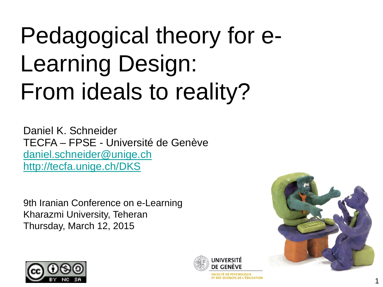### Pedagogical theory for e-Learning Design: From ideals to reality?

Daniel K. Schneider TECFA – FPSE - Université de Genève [daniel.schneider@unige.ch](mailto:daniel.schneider@unige.ch) <http://tecfa.unige.ch/DKS>

9th Iranian Conference on e-Learning Kharazmi University, Teheran Thursday, March 12, 2015







**FACULTÉ DE PSYCHOLOGIE ET DES SCIENCES DE L'ÉDUCATION**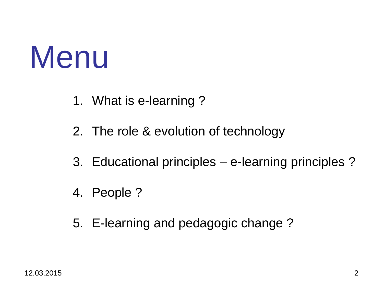### Menu

- 1. What is e-learning ?
- 2. The role & evolution of technology
- 3. Educational principles e-learning principles ?
- 4. People ?
- 5. E-learning and pedagogic change ?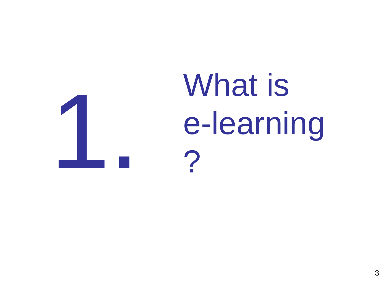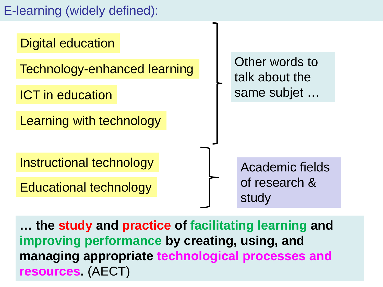#### E-learning (widely defined):



12.03.2015 4 **resources.** (AECT)**… the study and practice of facilitating learning and improving performance by creating, using, and managing appropriate technological processes and**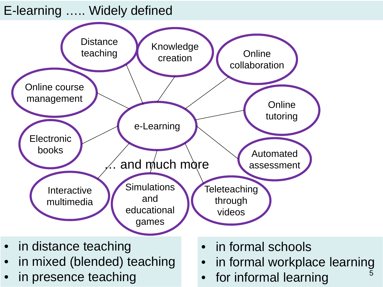#### E-learning ….. Widely defined



- in distance teaching
- in mixed (blended) teaching
- in presence teaching
- in formal schools
- in formal workplace learning
- for informal learning

5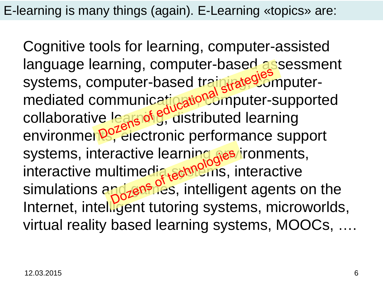E-learning is many things (again). E-Learning «topics» are:

Cognitive tools for learning, computer-assisted language learning, computer-based assessment systems, computer-based train rate<sup>gromputer-</sup> mediated communicatination<sup>s</sup> imputer-supported collaborative lears of g, distributed learning environmen<sup>por</sup>electronic performance support systems, interactive learning res/ironments, interactive multimedia schildins, interactive simulations and *zenifies*, intelligent agents on the Internet, intelligent tutoring systems, microworlds, virtual reality based learning systems, MOOCs, ….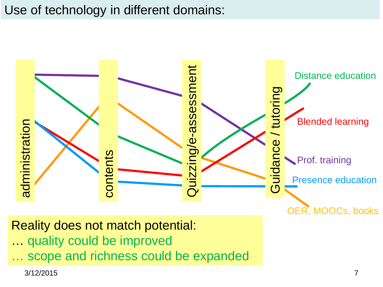#### Use of technology in different domains:



Reality does not match potential:

- … quality could be improved
- 

3/12/2015 7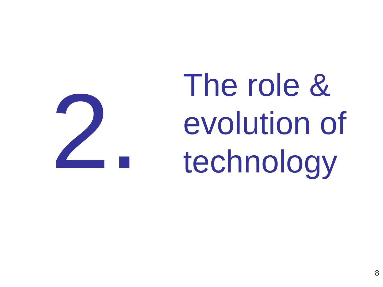The role & evolution of<br>technology

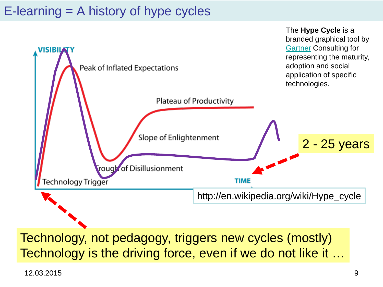#### $E$ -learning  $=$  A history of hype cycles



Technology, not pedagogy, triggers new cycles (mostly) Technology is the driving force, even if we do not like it …

12.03.2015 9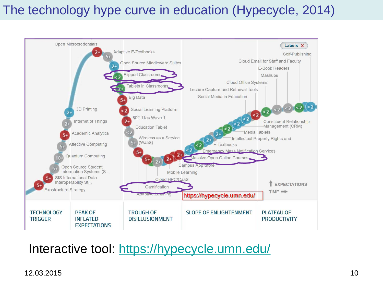#### The technology hype curve in education (Hypecycle, 2014)



#### Interactive tool:<https://hypecycle.umn.edu/>

#### 12.03.2015 10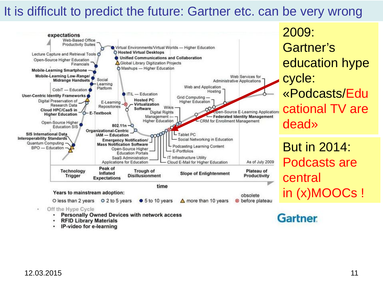#### It is difficult to predict the future: Gartner etc. can be very wrong



- **Personally Owned Devices with network access**
- ٠ **RFID Library Materials**
- IP-video for e-learning

2009: Gartner's education hype cycle: «Podcasts/Edu cational TV are dead»

But in 2014: Podcasts are central in (x)MOOCs !

**Gartner**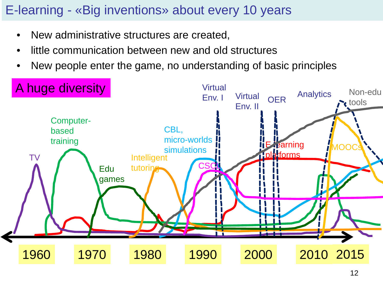#### E-learning - «Big inventions» about every 10 years

- New administrative structures are created,
- little communication between new and old structures
- New people enter the game, no understanding of basic principles

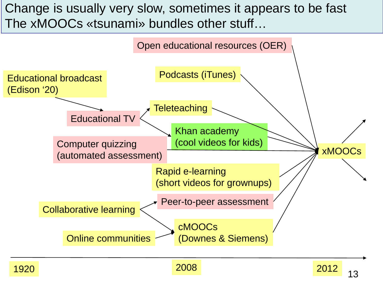#### Change is usually very slow, sometimes it appears to be fast The xMOOCs «tsunami» bundles other stuff…



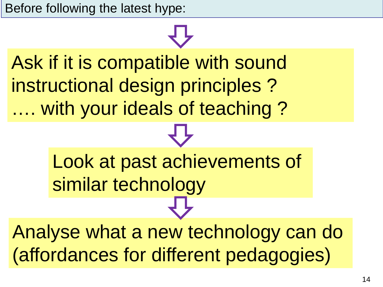Before following the latest hype:

## Ask if it is compatible with sound instructional design principles ? …. with your ideals of teaching ? Look at past achievements of similar technology Analyse what a new technology can do

(affordances for different pedagogies)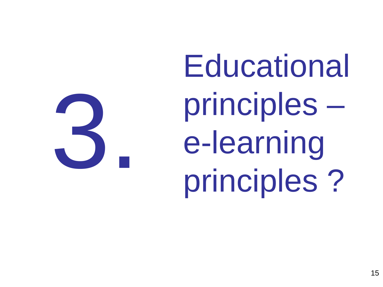**Educational** principles – e-learning 3 principles ?

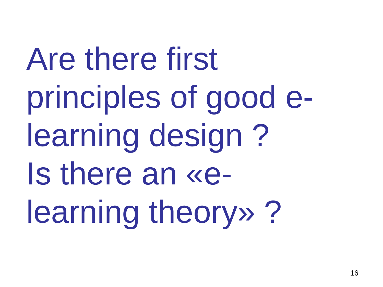Are there first principles of good elearning design ? Is there an «elearning theory» ?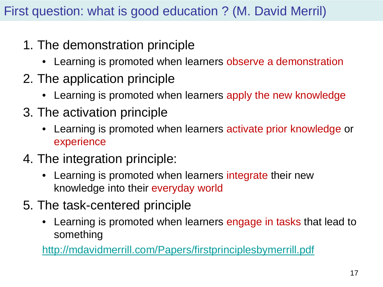#### First question: what is good education ? (M. David Merril)

- 1. The demonstration principle
	- Learning is promoted when learners observe a demonstration
- 2. The application principle
	- Learning is promoted when learners apply the new knowledge
- 3. The activation principle
	- Learning is promoted when learners activate prior knowledge or experience
- 4. The integration principle:
	- Learning is promoted when learners integrate their new knowledge into their everyday world
- 5. The task-centered principle
	- Learning is promoted when learners engage in tasks that lead to something

<http://mdavidmerrill.com/Papers/firstprinciplesbymerrill.pdf>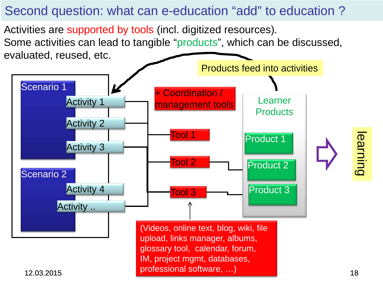#### Second question: what can e-education "add" to education ?

Activities are supported by tools (incl. digitized resources). Some activities can lead to tangible "products", which can be discussed, evaluated, reused, etc.

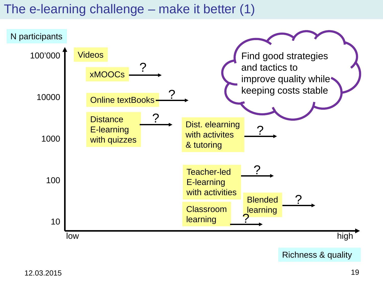#### The e-learning challenge – make it better (1)

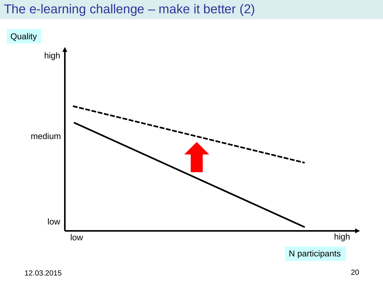#### The e-learning challenge – make it better (2)

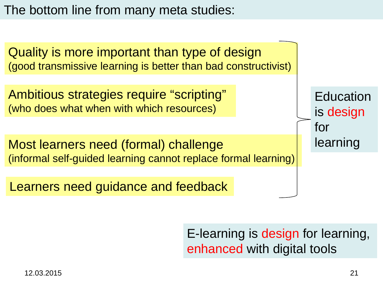The bottom line from many meta studies:



E-learning is design for learning, enhanced with digital tools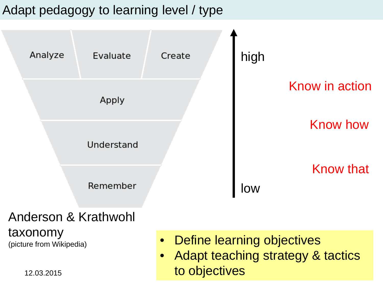#### Adapt pedagogy to learning level / type



taxonomy (picture from Wikipedia)

- Define learning objectives
- 12.03.2015 **22.03.2015 22.03.2015 22.03.2015** • Adapt teaching strategy & tactics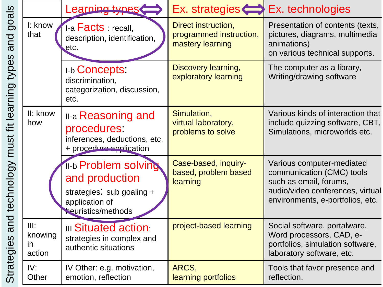| goals<br>and<br>types<br>fit learning<br>must<br>and technology<br>S<br>Strategie |                                 | Learning types                                                                                                            | $Ex.$ strategies $\iff$                                            | Ex. technologies                                                                                                                                         |
|-----------------------------------------------------------------------------------|---------------------------------|---------------------------------------------------------------------------------------------------------------------------|--------------------------------------------------------------------|----------------------------------------------------------------------------------------------------------------------------------------------------------|
|                                                                                   | I: know<br>that                 | 1-a <b>Facts</b> : recall,<br>description, identification,<br>etc.                                                        | Direct instruction,<br>programmed instruction,<br>mastery learning | Presentation of contents (texts,<br>pictures, diagrams, multimedia<br>animations)<br>on various technical supports.                                      |
|                                                                                   |                                 | <b>I-b Concepts:</b><br>discrimination,<br>categorization, discussion,<br>etc.                                            | Discovery learning,<br>exploratory learning                        | The computer as a library,<br>Writing/drawing software                                                                                                   |
|                                                                                   | II: know<br>how                 | <b>II-a Reasoning and</b><br>procedures.<br>inferences, deductions, etc.<br>+ procedure application                       | Simulation,<br>virtual laboratory,<br>problems to solve            | Various kinds of interaction that<br>include quizzing software, CBT,<br>Simulations, microworlds etc.                                                    |
|                                                                                   |                                 | <b>II-b Problem solving</b><br>and production<br>strategies: sub goaling +<br>application of<br><b>Neuristics/methods</b> | Case-based, inquiry-<br>based, problem based<br>learning           | Various computer-mediated<br>communication (CMC) tools<br>such as email, forums,<br>audio/video conferences, virtual<br>environments, e-portfolios, etc. |
|                                                                                   | III:<br>knowing<br>in<br>action | <b>III Situated action:</b><br>strategies in complex and<br>authentic situations                                          | project-based learning                                             | Social software, portalware,<br>Word processors, CAD, e-<br>portfolios, simulation software,<br>laboratory software, etc.                                |
|                                                                                   | IV:<br>Other                    | IV Other: e.g. motivation,<br>emotion, reflection                                                                         | ARCS,<br>learning portfolios                                       | Tools that favor presence and<br>reflection.                                                                                                             |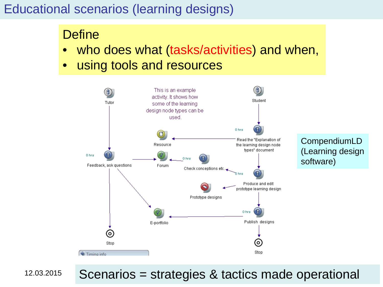#### Educational scenarios (learning designs)

#### **Define**

- who does what (tasks/activities) and when,
- using tools and resources



CompendiumLD (Learning design software)

12.03.2015

#### Scenarios = strategies & tactics made operational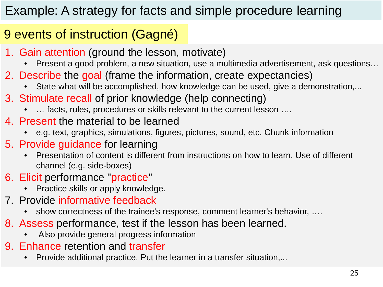### Example: A strategy for facts and simple procedure learning

### 9 events of instruction (Gagné)

- 1. Gain attention (ground the lesson, motivate)
	- Present a good problem, a new situation, use a multimedia advertisement, ask questions…
- 2. Describe the goal (frame the information, create expectancies)
	- State what will be accomplished, how knowledge can be used, give a demonstration,...
- 3. Stimulate recall of prior knowledge (help connecting)
	- ... facts, rules, procedures or skills relevant to the current lesson ....
- 4. Present the material to be learned
	- e.g. text, graphics, simulations, figures, pictures, sound, etc. Chunk information
- 5. Provide guidance for learning
	- Presentation of content is different from instructions on how to learn. Use of different channel (e.g. side-boxes)
- 6. Elicit performance "practice"
	- Practice skills or apply knowledge.
- 7. Provide informative feedback
	- show correctness of the trainee's response, comment learner's behavior, ....
- 8. Assess performance, test if the lesson has been learned.
	- Also provide general progress information
- 9. Enhance retention and transfer
	- Provide additional practice. Put the learner in a transfer situation,...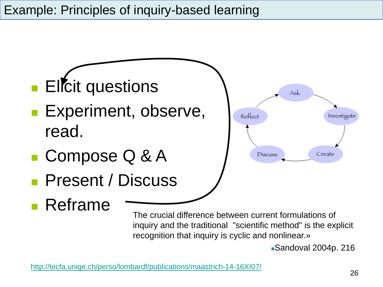

Sandoval 2004p. 216

<http://tecfa.unige.ch/perso/lombardf/publications/maastrich-14-16XI07/>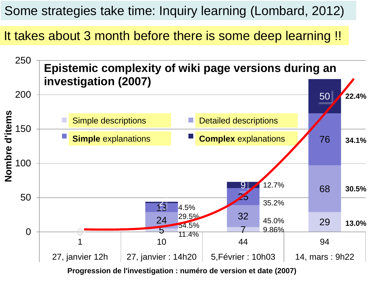Some strategies take time: Inquiry learning (Lombard, 2012)

It takes about 3 month before there is some deep learning !!



**Progression de l'investigation : numéro de version et date (2007)**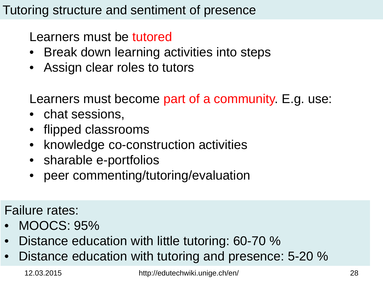#### Tutoring structure and sentiment of presence

Learners must be tutored

- Break down learning activities into steps
- Assign clear roles to tutors

Learners must become part of a community. E.g. use:

- chat sessions,
- flipped classrooms
- knowledge co-construction activities
- sharable e-portfolios
- peer commenting/tutoring/evaluation

Failure rates:

- MOOCS: 95%
- Distance education with little tutoring: 60-70 %
- Distance education with tutoring and presence: 5-20 %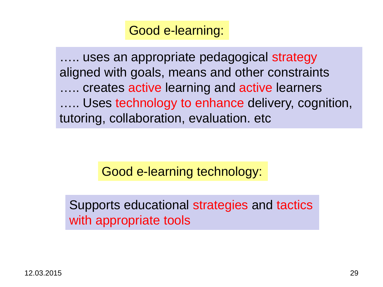#### Good e-learning:

..... uses an appropriate pedagogical strategy aligned with goals, means and other constraints ….. creates active learning and active learners ..... Uses technology to enhance delivery, cognition, tutoring, collaboration, evaluation. etc

Good e-learning technology:

Supports educational strategies and tactics with appropriate tools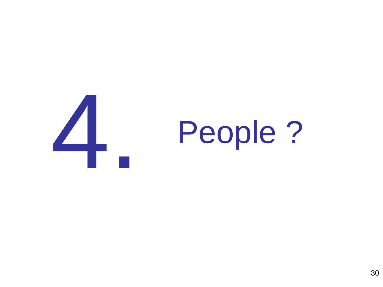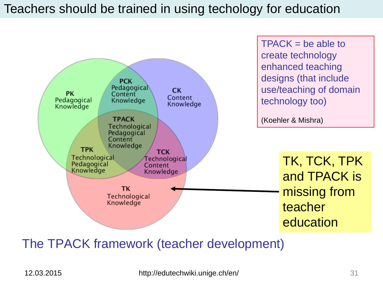#### Teachers should be trained in using techology for education



#### The TPACK framework (teacher development)

12.03.2015 http://edutechwiki.unige.ch/en/ 31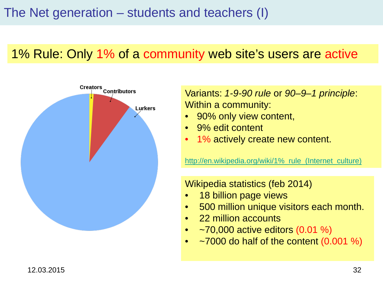#### 1% Rule: Only 1% of a community web site's users are active



Variants: *1-9-90 rule* or *90–9–1 principle*: Within a community:

- 90% only view content,
- 9% edit content
- 1% actively create new content.

http://en.wikipedia.org/wiki/1% rule (Internet culture)

Wikipedia statistics (feb 2014)

- 18 billion page views
- 500 million unique visitors each month.
- 22 million accounts
- $\sim$   $-70,000$  active editors (0.01 %)
- $\sim$  7000 do half of the content (0.001 %)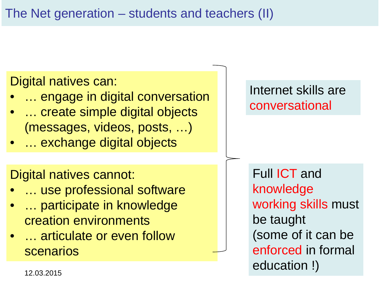Digital natives can:

- ... engage in digital conversation
- ... create simple digital objects (messages, videos, posts, …)
- ... exchange digital objects

Digital natives cannot:

- ... use professional software
- ... participate in knowledge creation environments
- ... articulate or even follow scenarios

#### Internet skills are conversational

Full ICT and knowledge working skills must be taught (some of it can be enforced in formal education !)

12.03.2015 33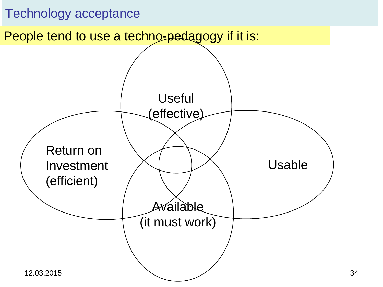#### Technology acceptance

People tend to use a techno-pedagogy if it is:

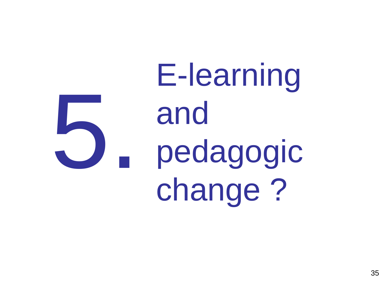E-learning and pedagogic change ? 5.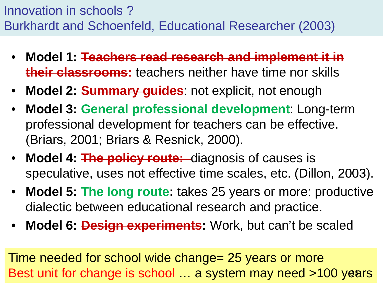Innovation in schools ? Burkhardt and Schoenfeld, Educational Researcher (2003)

- **Model 1: Teachers read research and implement it in their classrooms:** teachers neither have time nor skills
- **Model 2: Summary guides**: not explicit, not enough
- **Model 3: General professional development**: Long-term professional development for teachers can be effective. (Briars, 2001; Briars & Resnick, 2000).
- **Model 4: The policy route:** diagnosis of causes is speculative, uses not effective time scales, etc. (Dillon, 2003).
- **Model 5: The long route:** takes 25 years or more: productive dialectic between educational research and practice.
- **Model 6: Design experiments:** Work, but can't be scaled

Time needed for school wide change= 25 years or more Best unit for change is school ... a system may need >100 years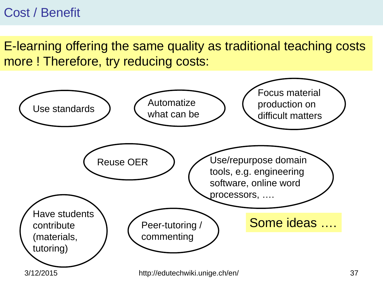#### Cost / Benefit

E-learning offering the same quality as traditional teaching costs more ! Therefore, try reducing costs:

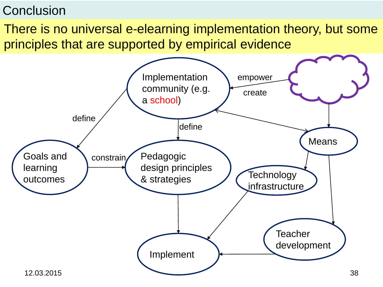#### **Conclusion**

There is no universal e-elearning implementation theory, but some principles that are supported by empirical evidence